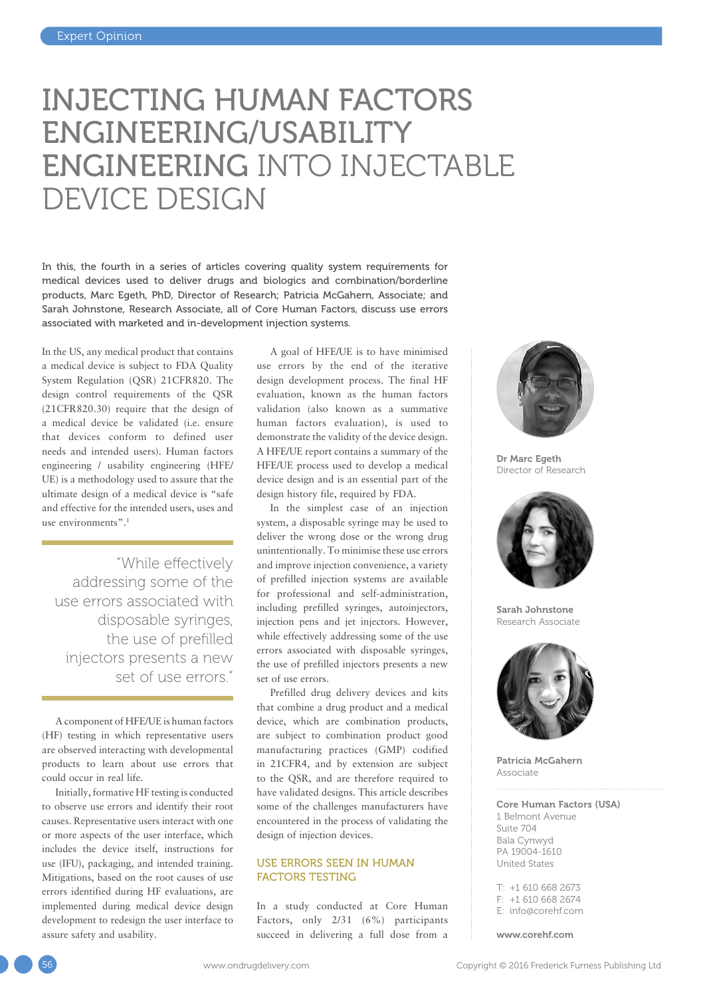# INJECTING HUMAN FACTORS ENGINEERING/USABILITY ENGINEERING INTO INJECTABLE DEVICE DESIGN

In this, the fourth in a series of articles covering quality system requirements for medical devices used to deliver drugs and biologics and combination/borderline products, Marc Egeth, PhD, Director of Research; Patricia McGahern, Associate; and Sarah Johnstone, Research Associate, all of Core Human Factors, discuss use errors associated with marketed and in-development injection systems.

In the US, any medical product that contains a medical device is subject to FDA Quality System Regulation (QSR) 21CFR820. The design control requirements of the QSR (21CFR820.30) require that the design of a medical device be validated (i.e. ensure that devices conform to defined user needs and intended users). Human factors engineering / usability engineering (HFE/ UE) is a methodology used to assure that the ultimate design of a medical device is "safe and effective for the intended users, uses and use environments".<sup>1</sup>

"While effectively addressing some of the use errors associated with disposable syringes, the use of prefilled injectors presents a new set of use errors."

A component of HFE/UE is human factors (HF) testing in which representative users are observed interacting with developmental products to learn about use errors that could occur in real life.

Initially, formative HF testing is conducted to observe use errors and identify their root causes. Representative users interact with one or more aspects of the user interface, which includes the device itself, instructions for use (IFU), packaging, and intended training. Mitigations, based on the root causes of use errors identified during HF evaluations, are implemented during medical device design development to redesign the user interface to assure safety and usability.

A goal of HFE/UE is to have minimised use errors by the end of the iterative design development process. The final HF evaluation, known as the human factors validation (also known as a summative human factors evaluation), is used to demonstrate the validity of the device design. A HFE/UE report contains a summary of the HFE/UE process used to develop a medical device design and is an essential part of the design history file, required by FDA.

In the simplest case of an injection system, a disposable syringe may be used to deliver the wrong dose or the wrong drug unintentionally. To minimise these use errors and improve injection convenience, a variety of prefilled injection systems are available for professional and self-administration, including prefilled syringes, autoinjectors, injection pens and jet injectors. However, while effectively addressing some of the use errors associated with disposable syringes, the use of prefilled injectors presents a new set of use errors.

Prefilled drug delivery devices and kits that combine a drug product and a medical device, which are combination products, are subject to combination product good manufacturing practices (GMP) codified in 21CFR4, and by extension are subject to the QSR, and are therefore required to have validated designs. This article describes some of the challenges manufacturers have encountered in the process of validating the design of injection devices.

#### USE ERRORS SEEN IN HUMAN FACTORS TESTING

In a study conducted at Core Human Factors, only 2/31 (6%) participants succeed in delivering a full dose from a



Dr Marc Egeth Director of Research



Sarah Johnstone Research Associate



Patricia McGahern Associate

Core Human Factors (USA) 1 Belmont Avenue Suite 704 Bala Cynwyd PA 19004-1610 United States

T: +1 610 668 2673 F: +1 610 668 2674 E: [info@corehf.com](mailto:info@corehf.com)

[www.corehf.com](http://www.corehf.com)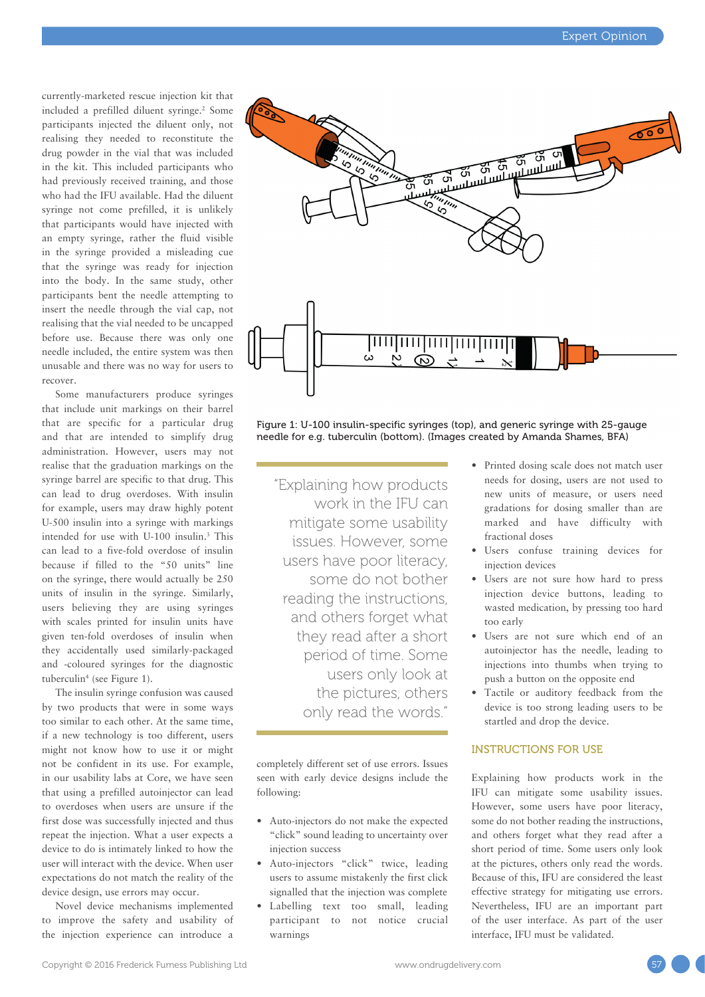currently-marketed rescue injection kit that included a prefilled diluent syringe.2 Some participants injected the diluent only, not realising they needed to reconstitute the drug powder in the vial that was included in the kit. This included participants who had previously received training, and those who had the IFU available. Had the diluent syringe not come prefilled, it is unlikely that participants would have injected with an empty syringe, rather the fluid visible in the syringe provided a misleading cue that the syringe was ready for injection into the body. In the same study, other participants bent the needle attempting to insert the needle through the vial cap, not realising that the vial needed to be uncapped before use. Because there was only one needle included, the entire system was then unusable and there was no way for users to recover.

Some manufacturers produce syringes that include unit markings on their barrel that are specific for a particular drug and that are intended to simplify drug administration. However, users may not realise that the graduation markings on the syringe barrel are specific to that drug. This can lead to drug overdoses. With insulin for example, users may draw highly potent U-500 insulin into a syringe with markings intended for use with U-100 insulin.3 This can lead to a five-fold overdose of insulin because if filled to the "50 units" line on the syringe, there would actually be 250 units of insulin in the syringe. Similarly, users believing they are using syringes with scales printed for insulin units have given ten-fold overdoses of insulin when they accidentally used similarly-packaged and -coloured syringes for the diagnostic tuberculin4 (see Figure 1).

The insulin syringe confusion was caused by two products that were in some ways too similar to each other. At the same time, if a new technology is too different, users might not know how to use it or might not be confident in its use. For example, in our usability labs at Core, we have seen that using a prefilled autoinjector can lead to overdoses when users are unsure if the first dose was successfully injected and thus repeat the injection. What a user expects a device to do is intimately linked to how the user will interact with the device. When user expectations do not match the reality of the device design, use errors may occur.

Novel device mechanisms implemented to improve the safety and usability of the injection experience can introduce a



Figure 1: U-100 insulin-specific syringes (top), and generic syringe with 25-gauge needle for e.g. tuberculin (bottom). (Images created by Amanda Shames, BFA)

"Explaining how products work in the IFU can mitigate some usability issues. However, some users have poor literacy, some do not bother reading the instructions, and others forget what they read after a short period of time. Some users only look at the pictures, others only read the words."

completely different set of use errors. Issues seen with early device designs include the following:

- Auto-injectors do not make the expected "click" sound leading to uncertainty over injection success
- Auto-injectors "click" twice, leading users to assume mistakenly the first click signalled that the injection was complete
- Labelling text too small, leading participant to not notice crucial warnings
- Printed dosing scale does not match user needs for dosing, users are not used to new units of measure, or users need gradations for dosing smaller than are marked and have difficulty with fractional doses
- Users confuse training devices for injection devices
- Users are not sure how hard to press injection device buttons, leading to wasted medication, by pressing too hard too early
- Users are not sure which end of an autoinjector has the needle, leading to injections into thumbs when trying to push a button on the opposite end
- Tactile or auditory feedback from the device is too strong leading users to be startled and drop the device.

#### INSTRUCTIONS FOR USE

Explaining how products work in the IFU can mitigate some usability issues. However, some users have poor literacy, some do not bother reading the instructions, and others forget what they read after a short period of time. Some users only look at the pictures, others only read the words. Because of this, IFU are considered the least effective strategy for mitigating use errors. Nevertheless, IFU are an important part of the user interface. As part of the user interface, IFU must be validated.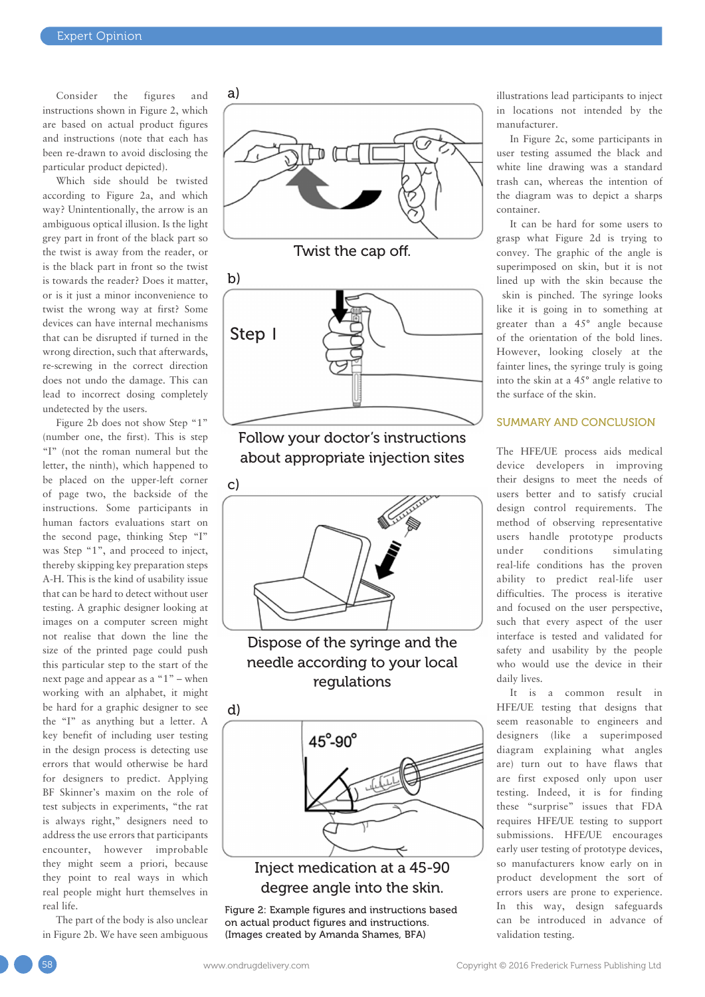Consider the figures and instructions shown in Figure 2, which are based on actual product figures and instructions (note that each has been re-drawn to avoid disclosing the particular product depicted).

Which side should be twisted according to Figure 2a, and which way? Unintentionally, the arrow is an ambiguous optical illusion. Is the light grey part in front of the black part so the twist is away from the reader, or is the black part in front so the twist is towards the reader? Does it matter, or is it just a minor inconvenience to twist the wrong way at first? Some devices can have internal mechanisms that can be disrupted if turned in the wrong direction, such that afterwards, re-screwing in the correct direction does not undo the damage. This can lead to incorrect dosing completely undetected by the users.

Figure 2b does not show Step "1" (number one, the first). This is step "I" (not the roman numeral but the letter, the ninth), which happened to be placed on the upper-left corner of page two, the backside of the instructions. Some participants in human factors evaluations start on the second page, thinking Step "I" was Step "1", and proceed to inject, thereby skipping key preparation steps A-H. This is the kind of usability issue that can be hard to detect without user testing. A graphic designer looking at images on a computer screen might not realise that down the line the size of the printed page could push this particular step to the start of the next page and appear as a "1" – when working with an alphabet, it might be hard for a graphic designer to see the "I" as anything but a letter. A key benefit of including user testing in the design process is detecting use errors that would otherwise be hard for designers to predict. Applying BF Skinner's maxim on the role of test subjects in experiments, "the rat is always right," designers need to address the use errors that participants encounter, however improbable they might seem a priori, because they point to real ways in which real people might hurt themselves in real life.

The part of the body is also unclear in Figure 2b. We have seen ambiguous



Twist the cap off.



Follow your doctor's instructions about appropriate injection sites



Dispose of the syringe and the needle according to your local regulations



### Inject medication at a 45-90 degree angle into the skin.

Figure 2: Example figures and instructions based on actual product figures and instructions. (Images created by Amanda Shames, BFA)

illustrations lead participants to inject in locations not intended by the manufacturer.

In Figure 2c, some participants in user testing assumed the black and white line drawing was a standard trash can, whereas the intention of the diagram was to depict a sharps container.

It can be hard for some users to grasp what Figure 2d is trying to convey. The graphic of the angle is superimposed on skin, but it is not lined up with the skin because the skin is pinched. The syringe looks like it is going in to something at greater than a 45° angle because of the orientation of the bold lines. However, looking closely at the fainter lines, the syringe truly is going into the skin at a 45° angle relative to the surface of the skin.

#### SUMMARY AND CONCLUSION

The HFE/UE process aids medical device developers in improving their designs to meet the needs of users better and to satisfy crucial design control requirements. The method of observing representative users handle prototype products under conditions simulating real-life conditions has the proven ability to predict real-life user difficulties. The process is iterative and focused on the user perspective, such that every aspect of the user interface is tested and validated for safety and usability by the people who would use the device in their daily lives.

It is a common result in HFE/UE testing that designs that seem reasonable to engineers and designers (like a superimposed diagram explaining what angles are) turn out to have flaws that are first exposed only upon user testing. Indeed, it is for finding these "surprise" issues that FDA requires HFE/UE testing to support submissions. HFE/UE encourages early user testing of prototype devices, so manufacturers know early on in product development the sort of errors users are prone to experience. In this way, design safeguards can be introduced in advance of validation testing.